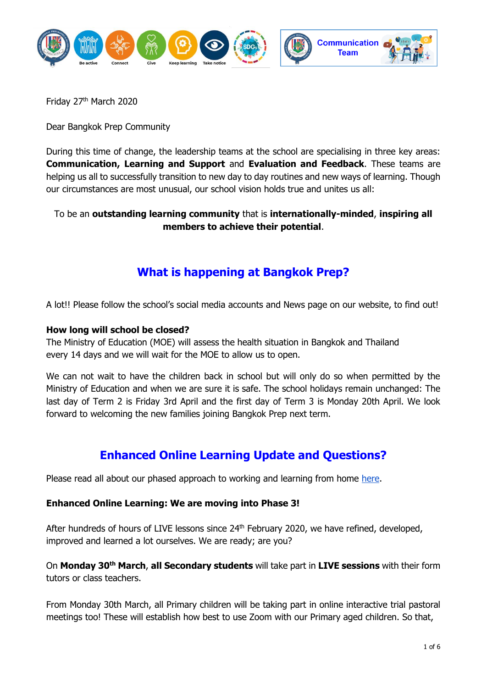

Friday 27th March 2020

Dear Bangkok Prep Community

During this time of change, the leadership teams at the school are specialising in three key areas: **Communication, Learning and Support** and **Evaluation and Feedback**. These teams are helping us all to successfully transition to new day to day routines and new ways of learning. Though our circumstances are most unusual, our school vision holds true and unites us all:

#### To be an **outstanding learning community** that is **internationally-minded**, **inspiring all members to achieve their potential**.

# **What is happening at Bangkok Prep?**

A lot!! Please follow the school's social media accounts and News page on our website, to find out!

#### **How long will school be closed?**

The Ministry of Education (MOE) will assess the health situation in Bangkok and Thailand every 14 days and we will wait for the MOE to allow us to open.

We can not wait to have the children back in school but will only do so when permitted by the Ministry of Education and when we are sure it is safe. The school holidays remain unchanged: The last day of Term 2 is Friday 3rd April and the first day of Term 3 is Monday 20th April. We look forward to welcoming the new families joining Bangkok Prep next term.

#### **Enhanced Online Learning Update and Questions?**

Please read all about our phased approach to working and learning from home [here.](https://bkkprep.ac.th/news/message-from-the-head-of-school-home-learning-and-innovative-online-learning/)

#### **Enhanced Online Learning: We are moving into Phase 3!**

After hundreds of hours of LIVE lessons since 24<sup>th</sup> February 2020, we have refined, developed, improved and learned a lot ourselves. We are ready; are you?

On **Monday 30th March**, **all Secondary students** will take part in **LIVE sessions** with their form tutors or class teachers.

From Monday 30th March, all Primary children will be taking part in online interactive trial pastoral meetings too! These will establish how best to use Zoom with our Primary aged children. So that,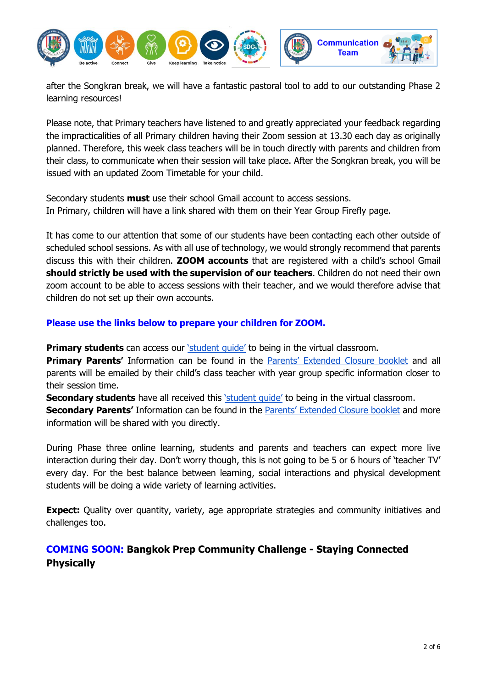

after the Songkran break, we will have a fantastic pastoral tool to add to our outstanding Phase 2 learning resources!

Please note, that Primary teachers have listened to and greatly appreciated your feedback regarding the impracticalities of all Primary children having their Zoom session at 13.30 each day as originally planned. Therefore, this week class teachers will be in touch directly with parents and children from their class, to communicate when their session will take place. After the Songkran break, you will be issued with an updated Zoom Timetable for your child.

Secondary students **must** use their school Gmail account to access sessions. In Primary, children will have a link shared with them on their Year Group Firefly page.

It has come to our attention that some of our students have been contacting each other outside of scheduled school sessions. As with all use of technology, we would strongly recommend that parents discuss this with their children. **ZOOM accounts** that are registered with a child's school Gmail **should strictly be used with the supervision of our teachers**. Children do not need their own zoom account to be able to access sessions with their teacher, and we would therefore advise that children do not set up their own accounts.

**Please use the links below to prepare your children for ZOOM.** 

**Primary students** can access our ['student guide'](https://docs.google.com/presentation/d/1_aF1KC_nMW4IcWW84Wj3JPk-JGe1ZdlW1GyrXzudxFk/edit?usp=sharing) to being in the virtual classroom.

**Primary Paren[t](https://bkkprep.fireflycloud.asia/parents-extended-closure-guide)s'** Information can be found in the **[Parents' Extended Closure bookle](https://bkkprep.fireflycloud.asia/parents-extended-closure-guide)t** and all parents will be emailed by their child's class teacher with year group specific information closer to their session time.

**Secondary students** have all received this *student quide'* to being in the virtual classroom.

**Secondary Paren[t](https://bkkprep.fireflycloud.asia/online-learning)s'** Information can be found in the **[Parents' Extended Closure bookle](https://bkkprep.fireflycloud.asia/online-learning)t** and more information will be shared with you directly.

During Phase three online learning, students and parents and teachers can expect more live interaction during their day. Don't worry though, this is not going to be 5 or 6 hours of 'teacher TV' every day. For the best balance between learning, social interactions and physical development students will be doing a wide variety of learning activities.

**Expect:** Quality over quantity, variety, age appropriate strategies and community initiatives and challenges too.

#### **COMING SOON: Bangkok Prep Community Challenge - Staying Connected Physically**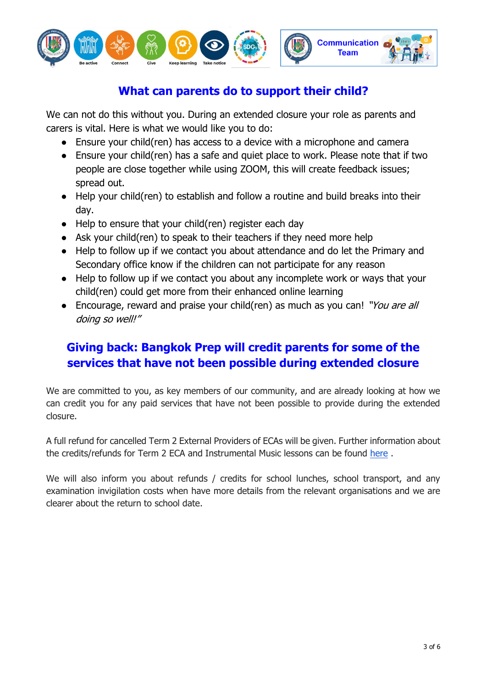

# **What can parents do to support their child?**

We can not do this without you. During an extended closure your role as parents and carers is vital. Here is what we would like you to do:

- Ensure your child(ren) has access to a device with a microphone and camera
- Ensure your child(ren) has a safe and quiet place to work. Please note that if two people are close together while using ZOOM, this will create feedback issues; spread out.
- Help your child(ren) to establish and follow a routine and build breaks into their day.
- Help to ensure that your child(ren) register each day
- Ask your child(ren) to speak to their teachers if they need more help
- Help to follow up if we contact you about attendance and do let the Primary and Secondary office know if the children can not participate for any reason
- Help to follow up if we contact you about any incomplete work or ways that your child(ren) could get more from their enhanced online learning
- Encourage, reward and praise your child(ren) as much as you can! "You are all doing so well!"

# **Giving back: Bangkok Prep will credit parents for some of the services that have not been possible during extended closure**

We are committed to you, as key members of our community, and are already looking at how we can credit you for any paid services that have not been possible to provide during the extended closure.

A full refund for cancelled Term 2 External Providers of ECAs will be given. Further information about the credits/refunds for Term 2 ECA and Instrumental Music lessons can be found [here](https://bkkprep.fireflycloud.asia/extra-curricular-activities/payment-details-dates-and-refund-policy/cancelled-ecas-at-the-end-of-term-2) .

We will also inform you about refunds / credits for school lunches, school transport, and any examination invigilation costs when have more details from the relevant organisations and we are clearer about the return to school date.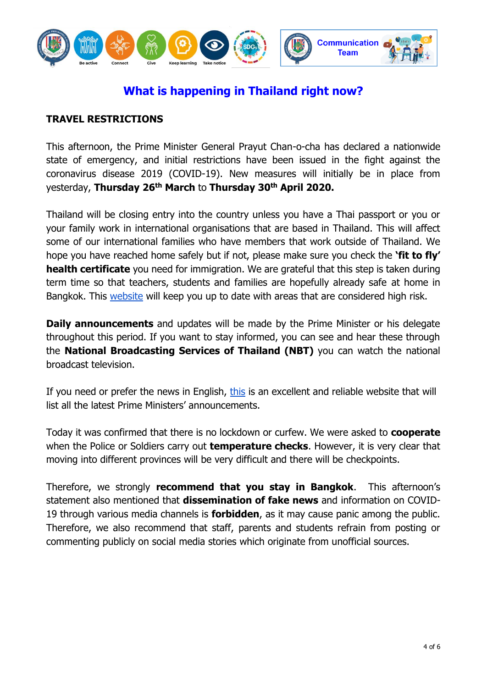

# **What is happening in Thailand right now?**

#### **TRAVEL RESTRICTIONS**

This afternoon, the Prime Minister General Prayut Chan-o-cha has declared a nationwide state of emergency, and initial restrictions have been issued in the fight against the coronavirus disease 2019 (COVID-19). New measures will initially be in place from yesterday, **Thursday 26th March** to **Thursday 30th April 2020.**

Thailand will be closing entry into the country unless you have a Thai passport or you or your family work in international organisations that are based in Thailand. This will affect some of our international families who have members that work outside of Thailand. We hope you have reached home safely but if not, please make sure you check the **'fit to fly' health certificate** you need for immigration. We are grateful that this step is taken during term time so that teachers, students and families are hopefully already safe at home in Bangkok. This [website](https://ddc.moph.go.th/viralpneumonia/eng/index.php) will keep you up to date with areas that are considered high risk.

**Daily announcements** and updates will be made by the Prime Minister or his delegate throughout this period. If you want to stay informed, you can see and hear these through the **National Broadcasting Services of Thailand (NBT)** you can watch the national broadcast television.

If you need or prefer the news in English, [this](https://thailand.prd.go.th/mobile_list.php?cid=4) is an excellent and reliable website that will list all the latest Prime Ministers' announcements.

Today it was confirmed that there is no lockdown or curfew. We were asked to **cooperate**  when the Police or Soldiers carry out **temperature checks**. However, it is very clear that moving into different provinces will be very difficult and there will be checkpoints.

Therefore, we strongly **recommend that you stay in Bangkok**. This afternoon's statement also mentioned that **dissemination of fake news** and information on COVID-19 through various media channels is **forbidden**, as it may cause panic among the public. Therefore, we also recommend that staff, parents and students refrain from posting or commenting publicly on social media stories which originate from unofficial sources.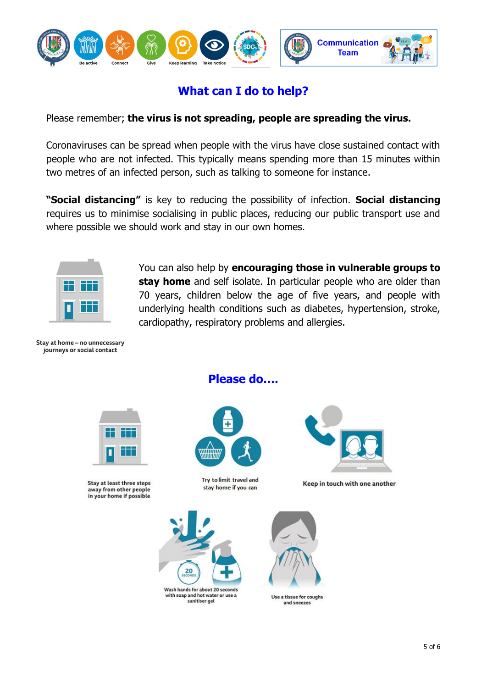

# **What can I do to help?**

Please remember; **the virus is not spreading, people are spreading the virus.**

Coronaviruses can be spread when people with the virus have close sustained contact with people who are not infected. This typically means spending more than 15 minutes within two metres of an infected person, such as talking to someone for instance.

**"Social distancing"** is key to reducing the possibility of infection. **Social distancing** requires us to minimise socialising in public places, reducing our public transport use and where possible we should work and stay in our own homes.



You can also help by **encouraging those in vulnerable groups to stay home** and self isolate. In particular people who are older than 70 years, children below the age of five years, and people with underlying health conditions such as diabetes, hypertension, stroke, cardiopathy, respiratory problems and allergies.

Stav at home - no unnecessary journeys or social contact



Stay at least three steps away from other people in your home if possible

**Please do….**







Keep in touch with one another





Use a tissue for coughs and sneezes